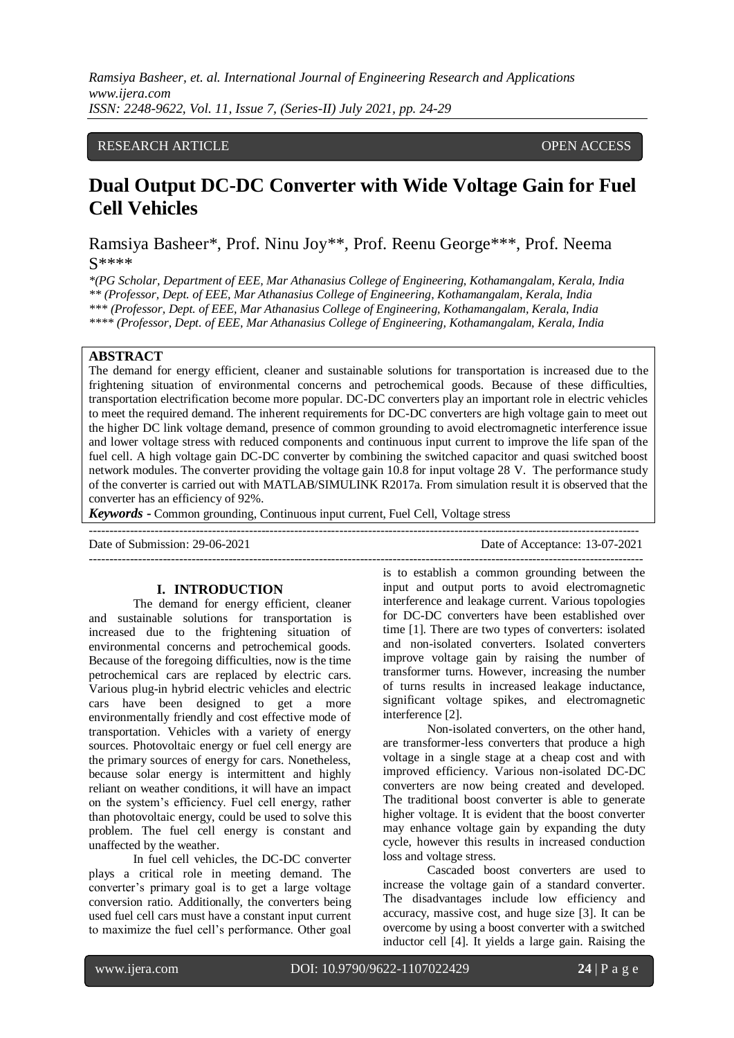*Ramsiya Basheer, et. al. International Journal of Engineering Research and Applications www.ijera.com ISSN: 2248-9622, Vol. 11, Issue 7, (Series-II) July 2021, pp. 24-29*

# RESEARCH ARTICLE **CONSERVERS** OPEN ACCESS

# **Dual Output DC-DC Converter with Wide Voltage Gain for Fuel Cell Vehicles**

Ramsiya Basheer\*, Prof. Ninu Joy\*\*, Prof. Reenu George\*\*\*, Prof. Neema S\*\*\*\*

*\*(PG Scholar, Department of EEE, Mar Athanasius College of Engineering, Kothamangalam, Kerala, India \*\* (Professor, Dept. of EEE, Mar Athanasius College of Engineering, Kothamangalam, Kerala, India \*\*\* (Professor, Dept. of EEE, Mar Athanasius College of Engineering, Kothamangalam, Kerala, India \*\*\*\* (Professor, Dept. of EEE, Mar Athanasius College of Engineering, Kothamangalam, Kerala, India*

# **ABSTRACT**

The demand for energy efficient, cleaner and sustainable solutions for transportation is increased due to the frightening situation of environmental concerns and petrochemical goods. Because of these difficulties, transportation electrification become more popular. DC-DC converters play an important role in electric vehicles to meet the required demand. The inherent requirements for DC-DC converters are high voltage gain to meet out the higher DC link voltage demand, presence of common grounding to avoid electromagnetic interference issue and lower voltage stress with reduced components and continuous input current to improve the life span of the fuel cell. A high voltage gain DC-DC converter by combining the switched capacitor and quasi switched boost network modules. The converter providing the voltage gain 10.8 for input voltage 28 V. The performance study of the converter is carried out with MATLAB/SIMULINK R2017a. From simulation result it is observed that the converter has an efficiency of 92%.

--------------------------------------------------------------------------------------------------------------------------------------

*Keywords* **-** Common grounding, Continuous input current, Fuel Cell, Voltage stress

Date of Submission: 29-06-2021 Date of Acceptance: 13-07-2021

# **I. INTRODUCTION**

The demand for energy efficient, cleaner and sustainable solutions for transportation is increased due to the frightening situation of environmental concerns and petrochemical goods. Because of the foregoing difficulties, now is the time petrochemical cars are replaced by electric cars. Various plug-in hybrid electric vehicles and electric cars have been designed to get a more environmentally friendly and cost effective mode of transportation. Vehicles with a variety of energy sources. Photovoltaic energy or fuel cell energy are the primary sources of energy for cars. Nonetheless, because solar energy is intermittent and highly reliant on weather conditions, it will have an impact on the system's efficiency. Fuel cell energy, rather than photovoltaic energy, could be used to solve this problem. The fuel cell energy is constant and unaffected by the weather.

In fuel cell vehicles, the DC-DC converter plays a critical role in meeting demand. The converter's primary goal is to get a large voltage conversion ratio. Additionally, the converters being used fuel cell cars must have a constant input current to maximize the fuel cell's performance. Other goal

is to establish a common grounding between the input and output ports to avoid electromagnetic interference and leakage current. Various topologies for DC-DC converters have been established over time [1]. There are two types of converters: isolated and non-isolated converters. Isolated converters improve voltage gain by raising the number of transformer turns. However, increasing the number of turns results in increased leakage inductance, significant voltage spikes, and electromagnetic interference [2].

---------------------------------------------------------------------------------------------------------------------------------------

Non-isolated converters, on the other hand, are transformer-less converters that produce a high voltage in a single stage at a cheap cost and with improved efficiency. Various non-isolated DC-DC converters are now being created and developed. The traditional boost converter is able to generate higher voltage. It is evident that the boost converter may enhance voltage gain by expanding the duty cycle, however this results in increased conduction loss and voltage stress.

Cascaded boost converters are used to increase the voltage gain of a standard converter. The disadvantages include low efficiency and accuracy, massive cost, and huge size [3]. It can be overcome by using a boost converter with a switched inductor cell [4]. It yields a large gain. Raising the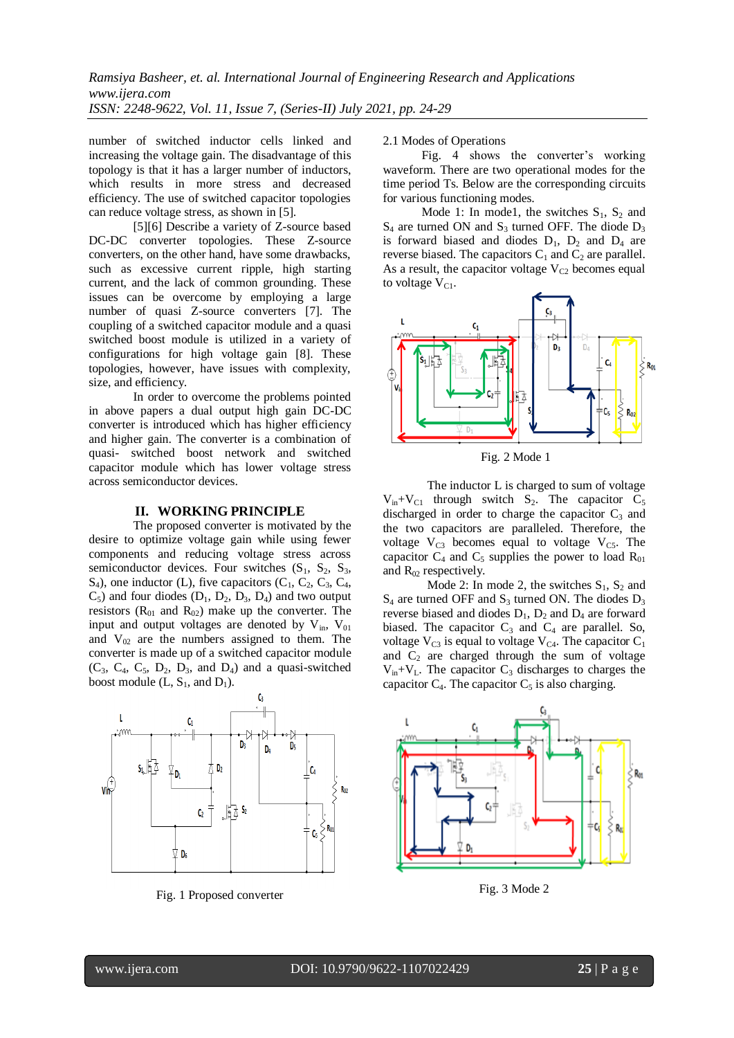number of switched inductor cells linked and increasing the voltage gain. The disadvantage of this topology is that it has a larger number of inductors, which results in more stress and decreased efficiency. The use of switched capacitor topologies can reduce voltage stress, as shown in [5].

[5][6] Describe a variety of Z-source based DC-DC converter topologies. These Z-source converters, on the other hand, have some drawbacks, such as excessive current ripple, high starting current, and the lack of common grounding. These issues can be overcome by employing a large number of quasi Z-source converters [7]. The coupling of a switched capacitor module and a quasi switched boost module is utilized in a variety of configurations for high voltage gain [8]. These topologies, however, have issues with complexity, size, and efficiency.

In order to overcome the problems pointed in above papers a dual output high gain DC-DC converter is introduced which has higher efficiency and higher gain. The converter is a combination of quasi- switched boost network and switched capacitor module which has lower voltage stress across semiconductor devices.

# **II. WORKING PRINCIPLE**

The proposed converter is motivated by the desire to optimize voltage gain while using fewer components and reducing voltage stress across semiconductor devices. Four switches  $(S_1, S_2, S_3, S_4)$  $S_4$ ), one inductor (L), five capacitors (C<sub>1</sub>, C<sub>2</sub>, C<sub>3</sub>, C<sub>4</sub>,  $C_5$ ) and four diodes  $(D_1, D_2, D_3, D_4)$  and two output resistors  $(R_{01}$  and  $R_{02})$  make up the converter. The input and output voltages are denoted by  $V_{in}$ ,  $V_{01}$ and  $V_{02}$  are the numbers assigned to them. The converter is made up of a switched capacitor module  $(C_3, C_4, C_5, D_2, D_3, and D_4)$  and a quasi-switched boost module  $(L, S_1, and D_1)$ .



Fig. 1 Proposed converter

2.1 Modes of Operations

Fig. 4 shows the converter's working waveform. There are two operational modes for the time period Ts. Below are the corresponding circuits for various functioning modes.

Mode 1: In mode1, the switches  $S_1$ ,  $S_2$  and  $S_4$  are turned ON and  $S_3$  turned OFF. The diode  $D_3$ is forward biased and diodes  $D_1$ ,  $D_2$  and  $D_4$  are reverse biased. The capacitors  $C_1$  and  $C_2$  are parallel. As a result, the capacitor voltage  $V_{C2}$  becomes equal to voltage  $V_{C1}$ .



Fig. 2 Mode 1

The inductor L is charged to sum of voltage  $V_{in}+V_{C1}$  through switch S<sub>2</sub>. The capacitor C<sub>5</sub> discharged in order to charge the capacitor  $C_3$  and the two capacitors are paralleled. Therefore, the voltage  $V_{C3}$  becomes equal to voltage  $V_{C5}$ . The capacitor  $C_4$  and  $C_5$  supplies the power to load  $R_{01}$ and R<sub>02</sub> respectively.

Mode 2: In mode 2, the switches  $S_1$ ,  $S_2$  and  $S_4$  are turned OFF and  $S_3$  turned ON. The diodes  $D_3$ reverse biased and diodes  $D_1$ ,  $D_2$  and  $D_4$  are forward biased. The capacitor  $C_3$  and  $C_4$  are parallel. So, voltage  $V_{C3}$  is equal to voltage  $V_{C4}$ . The capacitor  $C_1$ and  $C_2$  are charged through the sum of voltage  $V_{in}+V_{L}$ . The capacitor  $C_{3}$  discharges to charges the capacitor  $C_4$ . The capacitor  $C_5$  is also charging.



Fig. 3 Mode 2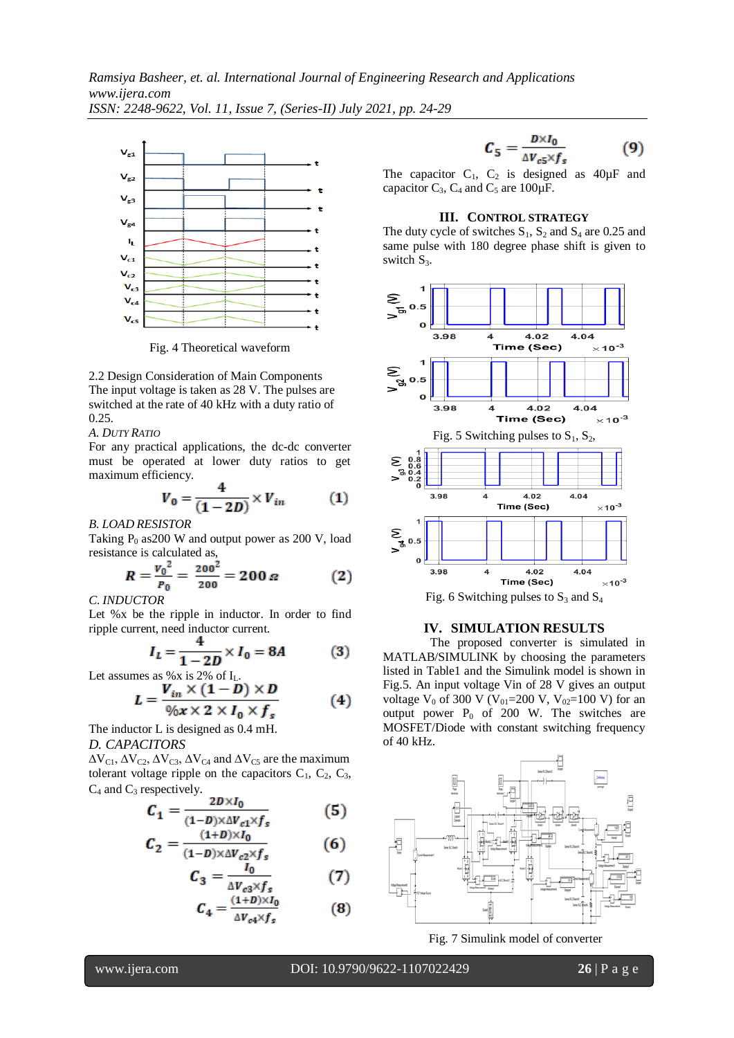*Ramsiya Basheer, et. al. International Journal of Engineering Research and Applications www.ijera.com ISSN: 2248-9622, Vol. 11, Issue 7, (Series-II) July 2021, pp. 24-29*



Fig. 4 Theoretical waveform

2.2 Design Consideration of Main Components The input voltage is taken as 28 V. The pulses are switched at the rate of 40 kHz with a duty ratio of 0.25.

## *A. DUTY RATIO*

For any practical applications, the dc-dc converter must be operated at lower duty ratios to get maximum efficiency.

$$
V_0 = \frac{4}{(1-2D)} \times V_{in} \tag{1}
$$

l *B. LOAD RESISTOR*

Taking  $P_0$  as 200 W and output power as 200 V, load resistance is calculated as,

$$
R = \frac{v_0^2}{P_0} = \frac{200^2}{200} = 200 \,\text{m}
$$
 (2)

*C. INDUCTOR*

l

Let %x be the ripple in inductor. In order to find ripple current, need inductor current.

$$
I_L = \frac{4}{1 - 2D} \times I_0 = 8A \tag{3}
$$

Let assumes as  $\frac{6}{1}$  x is 2% of I<sub>L</sub>.

$$
L = \frac{V_{in} \wedge (1 - D) \wedge D}{\sqrt{2 \times 2 \times I_0 \times f_s}} \tag{4}
$$

l The inductor L is designed as 0.4 mH. *D. CAPACITORS* 

 $\Delta V_{C1}$ ,  $\Delta V_{C2}$ ,  $\Delta V_{C3}$ ,  $\Delta V_{C4}$  and  $\Delta V_{C5}$  are the maximum tolerant voltage ripple on the capacitors  $C_1$ ,  $C_2$ ,  $C_3$ ,  $C_4$  and  $C_3$  respectively.

$$
C_1 = \frac{2D \times I_0}{(1 - D) \times \Delta V_{c1} \times f_s} \tag{5}
$$

$$
C_2 = \frac{(1+D)\times I_0}{(1-D)\times \Delta V_{c2} \times f_s}
$$
 (6)

$$
C_3 = \frac{r_0}{\Delta V_{c3} \times f_s} \tag{7}
$$

$$
C_4 = \frac{1}{\Delta V_{c4} \times f_s} \tag{8}
$$

$$
C_5 = \frac{D \times I_0}{\Delta V_{c5} \times f_s} \tag{9}
$$

The capacitor  $C_1$ ,  $C_2$  is designed as  $40 \mu$ F and capacitor  $C_3$ ,  $C_4$  and  $C_5$  are 100 $\mu$ F.

#### **III. CONTROL STRATEGY**

The duty cycle of switches  $S_1$ ,  $S_2$  and  $S_4$  are 0.25 and same pulse with 180 degree phase shift is given to switch  $S_3$ .



# **IV. SIMULATION RESULTS**

The proposed converter is simulated in MATLAB/SIMULINK by choosing the parameters listed in Table1 and the Simulink model is shown in Fig.5. An input voltage Vin of 28 V gives an output voltage V<sub>0</sub> of 300 V (V<sub>01</sub>=200 V, V<sub>02</sub>=100 V) for an output power  $P_0$  of 200 W. The switches are MOSFET/Diode with constant switching frequency of 40 kHz.



Fig. 7 Simulink model of converter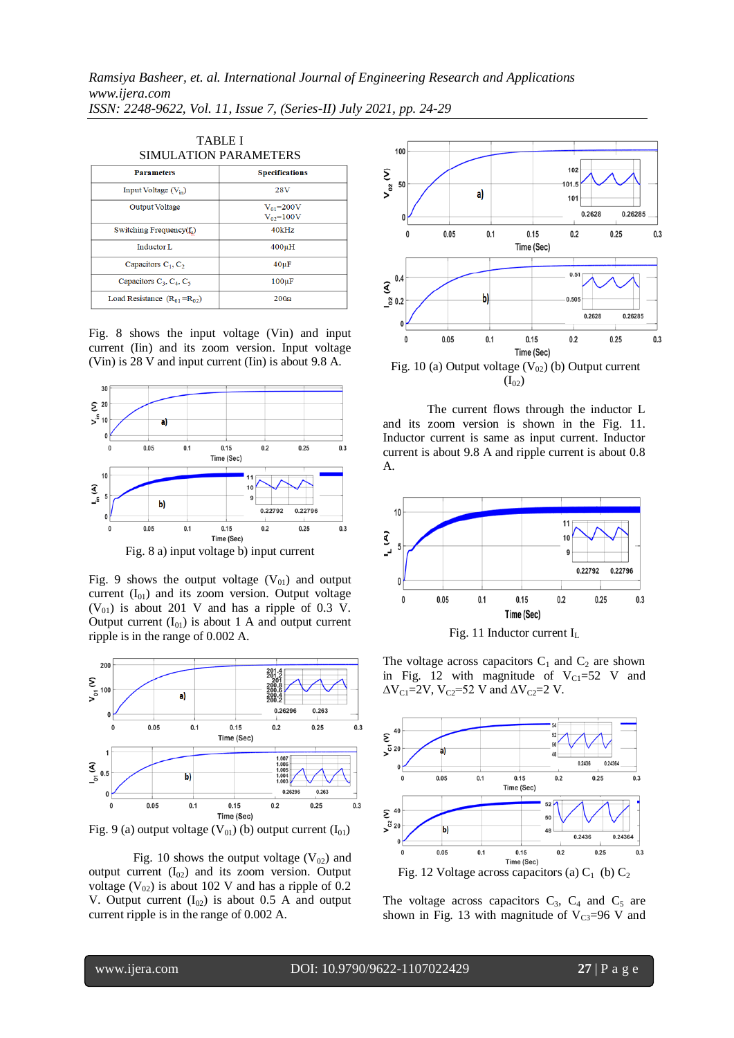*Ramsiya Basheer, et. al. International Journal of Engineering Research and Applications www.ijera.com ISSN: 2248-9622, Vol. 11, Issue 7, (Series-II) July 2021, pp. 24-29*

| TABLE I<br>SIMULATION PARAMETERS    |                                    |
|-------------------------------------|------------------------------------|
| <b>Parameters</b>                   | <b>Specifications</b>              |
| Input Voltage $(V_{in})$            | 28V                                |
| <b>Output Voltage</b>               | $V_{01} = 200V$<br>$V_{02} = 100V$ |
| Switching Frequency $(f_s)$         | 40kHz                              |
| Inductor L                          | $400\mu H$                         |
| Capacitors $C_1$ , $C_2$            | $40\mu F$                          |
| Capacitors $C_3$ , $C_4$ , $C_5$    | $100\mu F$                         |
| Load Resistance $(R_{01} = R_{02})$ | 200a                               |

Fig. 8 shows the input voltage (Vin) and input current (Iin) and its zoom version. Input voltage (Vin) is 28 V and input current (Iin) is about 9.8 A.



Fig. 8 a) input voltage b) input current

Fig. 9 shows the output voltage  $(V_{01})$  and output current  $(I_{01})$  and its zoom version. Output voltage  $(V_{01})$  is about 201 V and has a ripple of 0.3 V. Output current  $(I_{01})$  is about 1 A and output current ripple is in the range of 0.002 A.



Fig. 9 (a) output voltage  $(V_{01})$  (b) output current  $(I_{01})$ 

Fig. 10 shows the output voltage  $(V_{02})$  and output current  $(I_{02})$  and its zoom version. Output voltage  $(V_{02})$  is about 102 V and has a ripple of 0.2 V. Output current  $(I_{02})$  is about 0.5 A and output current ripple is in the range of 0.002 A.



 $(I_{02})$ 

The current flows through the inductor L and its zoom version is shown in the Fig. 11. Inductor current is same as input current. Inductor current is about 9.8 A and ripple current is about 0.8 A.





The voltage across capacitors  $C_1$  and  $C_2$  are shown in Fig. 12 with magnitude of  $V_{C1}=52$  V and  $\Delta V_{C1}$ =2V, V<sub>C2</sub>=52 V and  $\Delta V_{C2}$ =2 V.



The voltage across capacitors  $C_3$ ,  $C_4$  and  $C_5$  are shown in Fig. 13 with magnitude of  $V_{C3}=96$  V and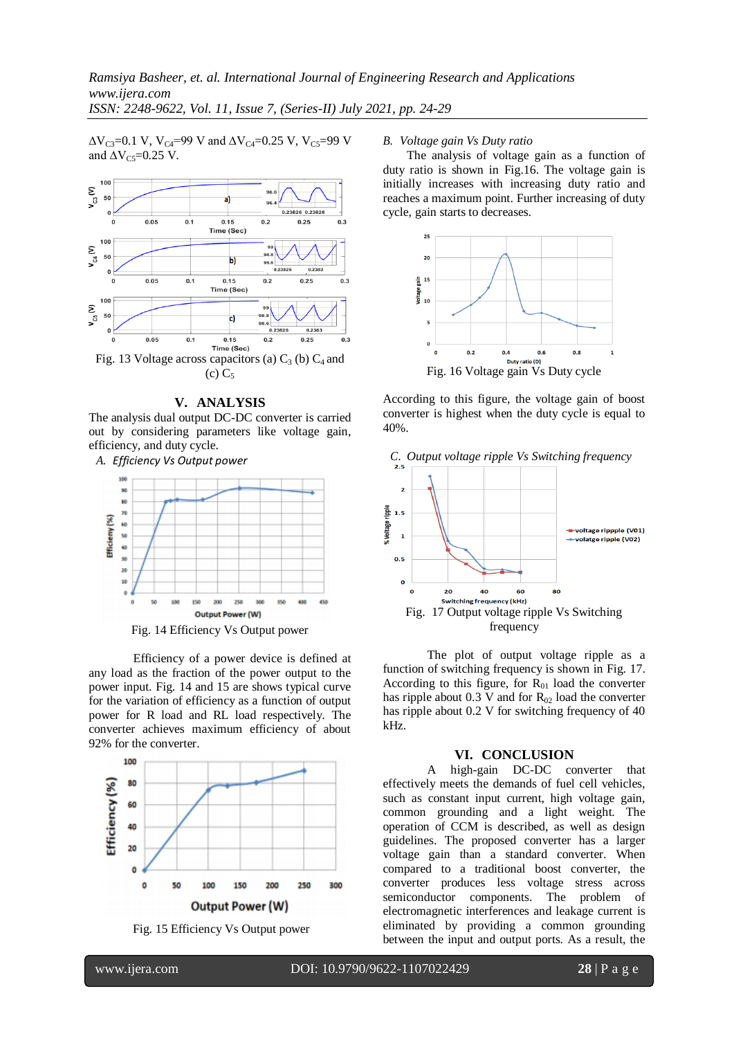$\Delta V_{C3}$ =0.1 V, V<sub>C4</sub>=99 V and  $\Delta V_{C4}$ =0.25 V, V<sub>C5</sub>=99 V and  $\Delta V_{CS}$ =0.25 V.



 $(c)$  C<sub>5</sub>

# **V. ANALYSIS**

The analysis dual output DC-DC converter is carried out by considering parameters like voltage gain, efficiency, and duty cycle.

*A. Efficiency Vs Output power*



Efficiency of a power device is defined at any load as the fraction of the power output to the power input. Fig. 14 and 15 are shows typical curve for the variation of efficiency as a function of output power for R load and RL load respectively. The converter achieves maximum efficiency of about 92% for the converter.





## *B. Voltage gain Vs Duty ratio*

The analysis of voltage gain as a function of duty ratio is shown in Fig.16. The voltage gain is initially increases with increasing duty ratio and reaches a maximum point. Further increasing of duty cycle, gain starts to decreases.



According to this figure, the voltage gain of boost converter is highest when the duty cycle is equal to 40%.



The plot of output voltage ripple as a function of switching frequency is shown in Fig. 17. According to this figure, for  $R_{01}$  load the converter has ripple about 0.3 V and for  $R_{02}$  load the converter has ripple about 0.2 V for switching frequency of 40 kHz.

## **VI. CONCLUSION**

A high-gain DC-DC converter that effectively meets the demands of fuel cell vehicles, such as constant input current, high voltage gain, common grounding and a light weight. The operation of CCM is described, as well as design guidelines. The proposed converter has a larger voltage gain than a standard converter. When compared to a traditional boost converter, the converter produces less voltage stress across semiconductor components. The problem of electromagnetic interferences and leakage current is eliminated by providing a common grounding between the input and output ports. As a result, the